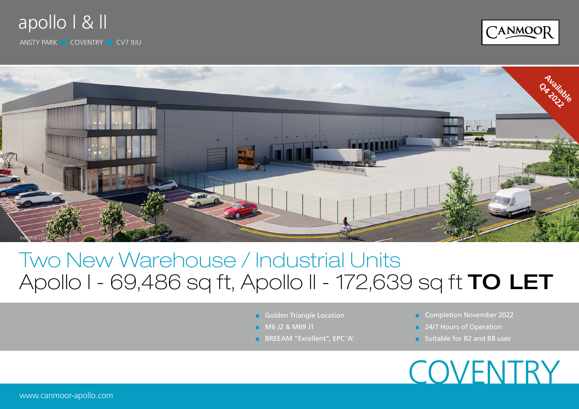### apollo l & ll

ANSTY PARK ■ COVENTRY ■ CV7 9JU





## Two New Warehouse / Industrial Units Apollo I - 69,486 sq ft, Apollo II - 172,639 sq ft TO LET

- **B** Golden Triangle Location
- M6 J2 & M69 J1
- BREEAM "Excellent", EPC 'A'
- Completion November 2022
- 24/7 Hours of Operation
- Suitable for B<sub>2</sub> and B<sub>8</sub> uses

## **COVENTRY**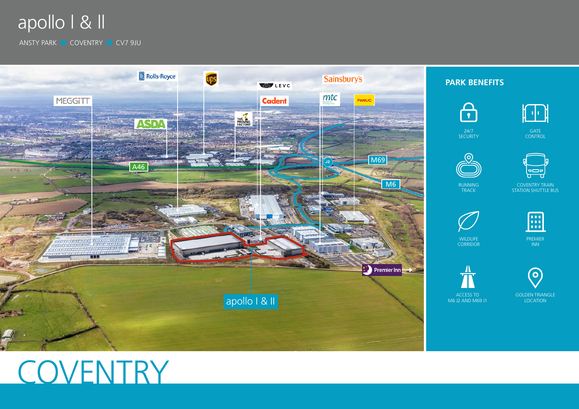

ANSTY PARK ■ COVENTRY ■ CV7 9JU



# COVENTRY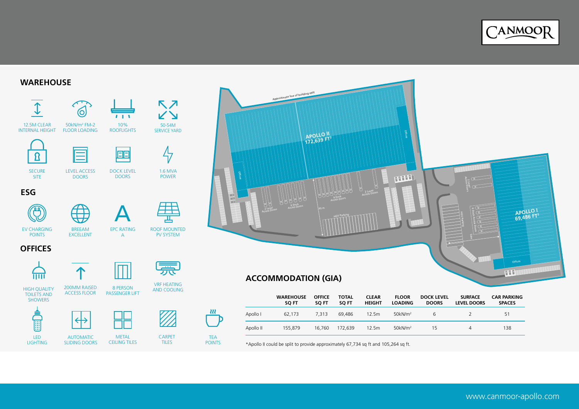

#### **WAREHOUSE**





\*Apollo II could be split to provide approximately 67,734 sq ft and 105,264 sq ft.